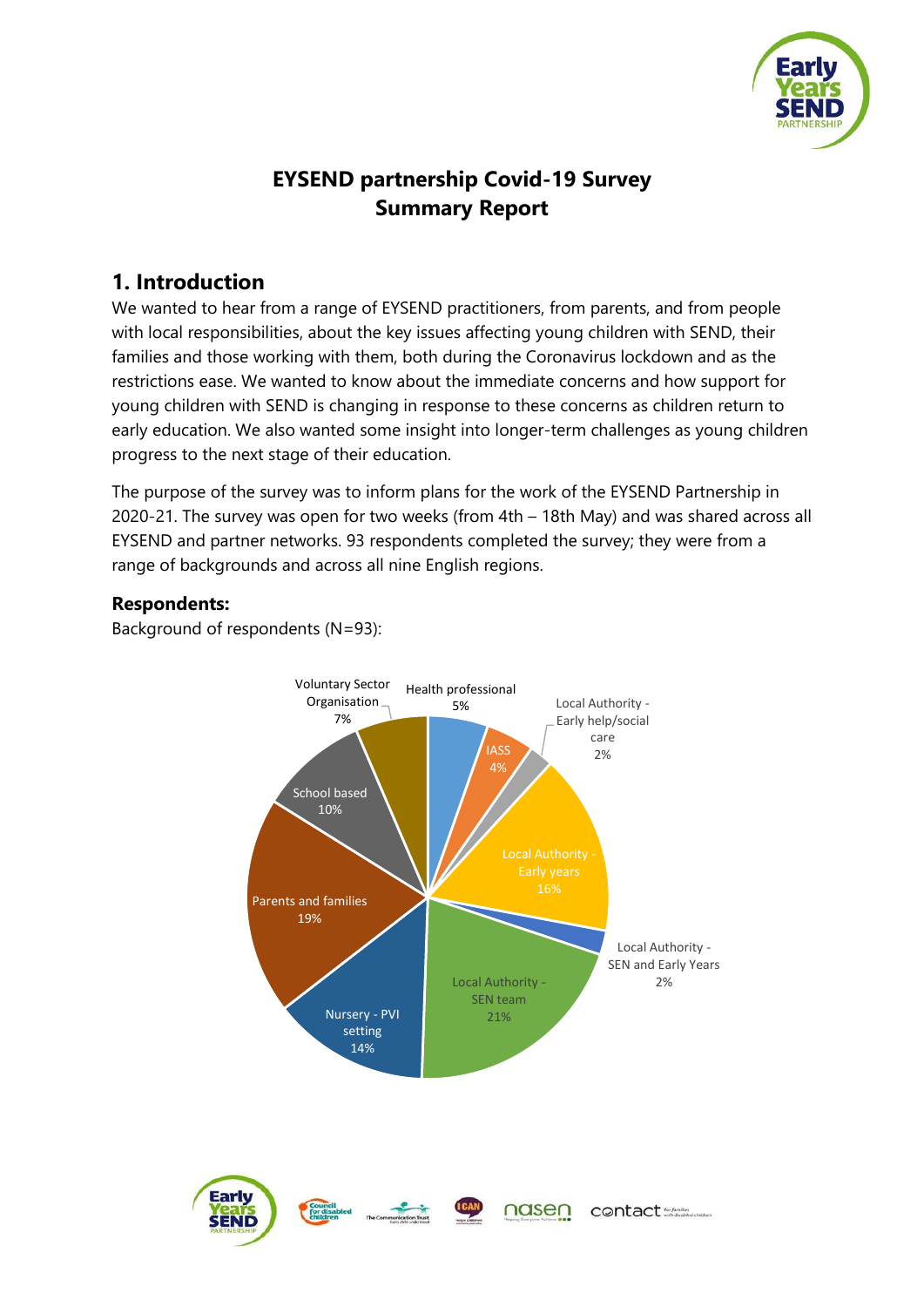

# **EYSEND partnership Covid-19 Survey Summary Report**

# **1. Introduction**

We wanted to hear from a range of EYSEND practitioners, from parents, and from people with local responsibilities, about the key issues affecting young children with SEND, their families and those working with them, both during the Coronavirus lockdown and as the restrictions ease. We wanted to know about the immediate concerns and how support for young children with SEND is changing in response to these concerns as children return to early education. We also wanted some insight into longer-term challenges as young children progress to the next stage of their education.

The purpose of the survey was to inform plans for the work of the EYSEND Partnership in 2020-21. The survey was open for two weeks (from 4th – 18th May) and was shared across all EYSEND and partner networks. 93 respondents completed the survey; they were from a range of backgrounds and across all nine English regions.

# **Respondents:**

Background of respondents (N=93):

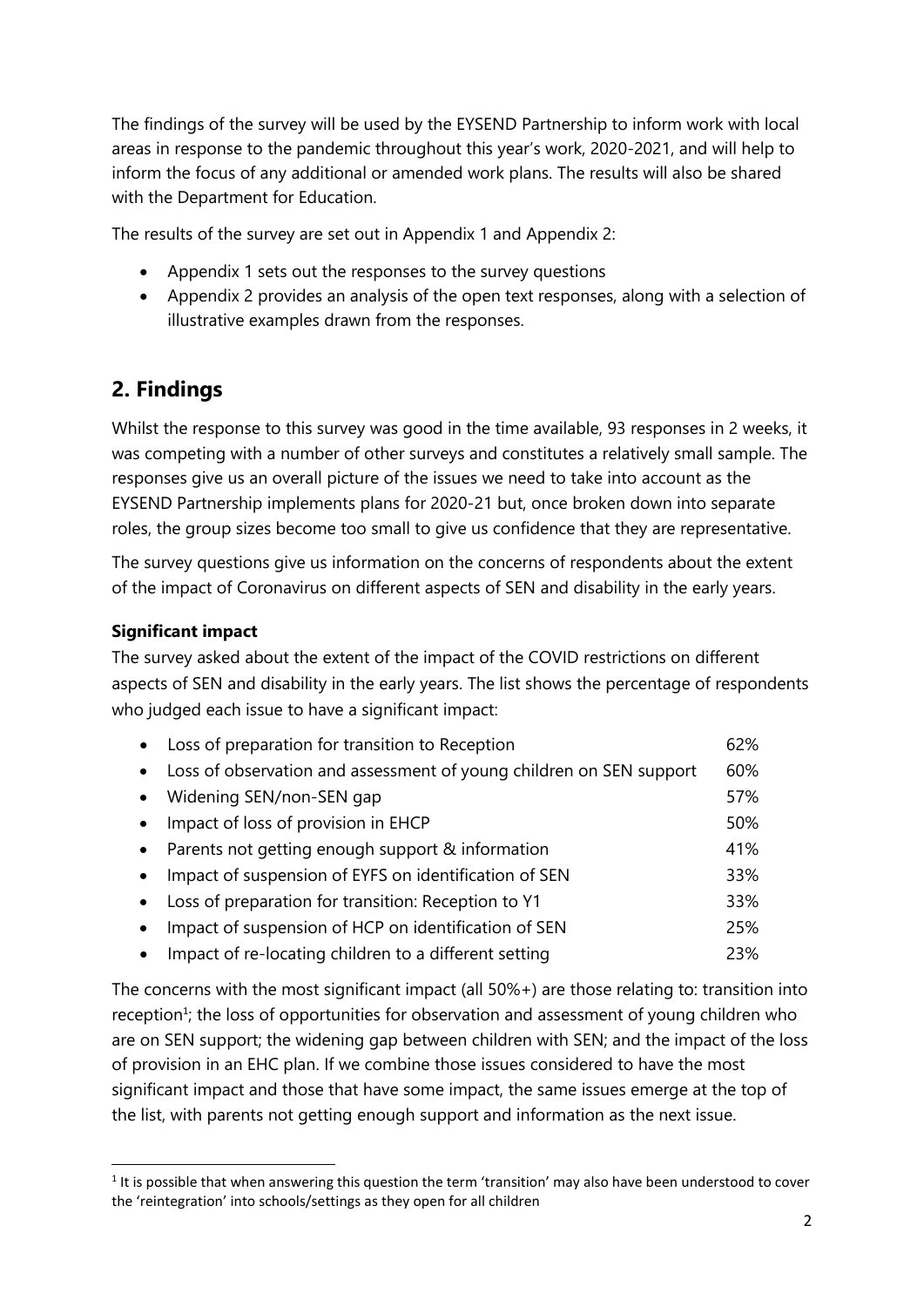The findings of the survey will be used by the EYSEND Partnership to inform work with local areas in response to the pandemic throughout this year's work, 2020-2021, and will help to inform the focus of any additional or amended work plans. The results will also be shared with the Department for Education.

The results of the survey are set out in Appendix 1 and Appendix 2:

- Appendix 1 sets out the responses to the survey questions
- Appendix 2 provides an analysis of the open text responses, along with a selection of illustrative examples drawn from the responses.

# **2. Findings**

Whilst the response to this survey was good in the time available, 93 responses in 2 weeks, it was competing with a number of other surveys and constitutes a relatively small sample. The responses give us an overall picture of the issues we need to take into account as the EYSEND Partnership implements plans for 2020-21 but, once broken down into separate roles, the group sizes become too small to give us confidence that they are representative.

The survey questions give us information on the concerns of respondents about the extent of the impact of Coronavirus on different aspects of SEN and disability in the early years.

## **Significant impact**

**.** 

The survey asked about the extent of the impact of the COVID restrictions on different aspects of SEN and disability in the early years. The list shows the percentage of respondents who judged each issue to have a significant impact:

| Loss of preparation for transition to Reception                     | 62% |
|---------------------------------------------------------------------|-----|
| Loss of observation and assessment of young children on SEN support | 60% |
| Widening SEN/non-SEN gap                                            | 57% |
| Impact of loss of provision in EHCP                                 | 50% |
| Parents not getting enough support & information                    | 41% |
| Impact of suspension of EYFS on identification of SEN               | 33% |
| Loss of preparation for transition: Reception to Y1                 | 33% |
| Impact of suspension of HCP on identification of SEN                | 25% |
| Impact of re-locating children to a different setting               | 23% |

The concerns with the most significant impact (all 50%+) are those relating to: transition into reception<sup>1</sup>; the loss of opportunities for observation and assessment of young children who are on SEN support; the widening gap between children with SEN; and the impact of the loss of provision in an EHC plan. If we combine those issues considered to have the most significant impact and those that have some impact, the same issues emerge at the top of the list, with parents not getting enough support and information as the next issue.

<sup>&</sup>lt;sup>1</sup> It is possible that when answering this question the term 'transition' may also have been understood to cover the 'reintegration' into schools/settings as they open for all children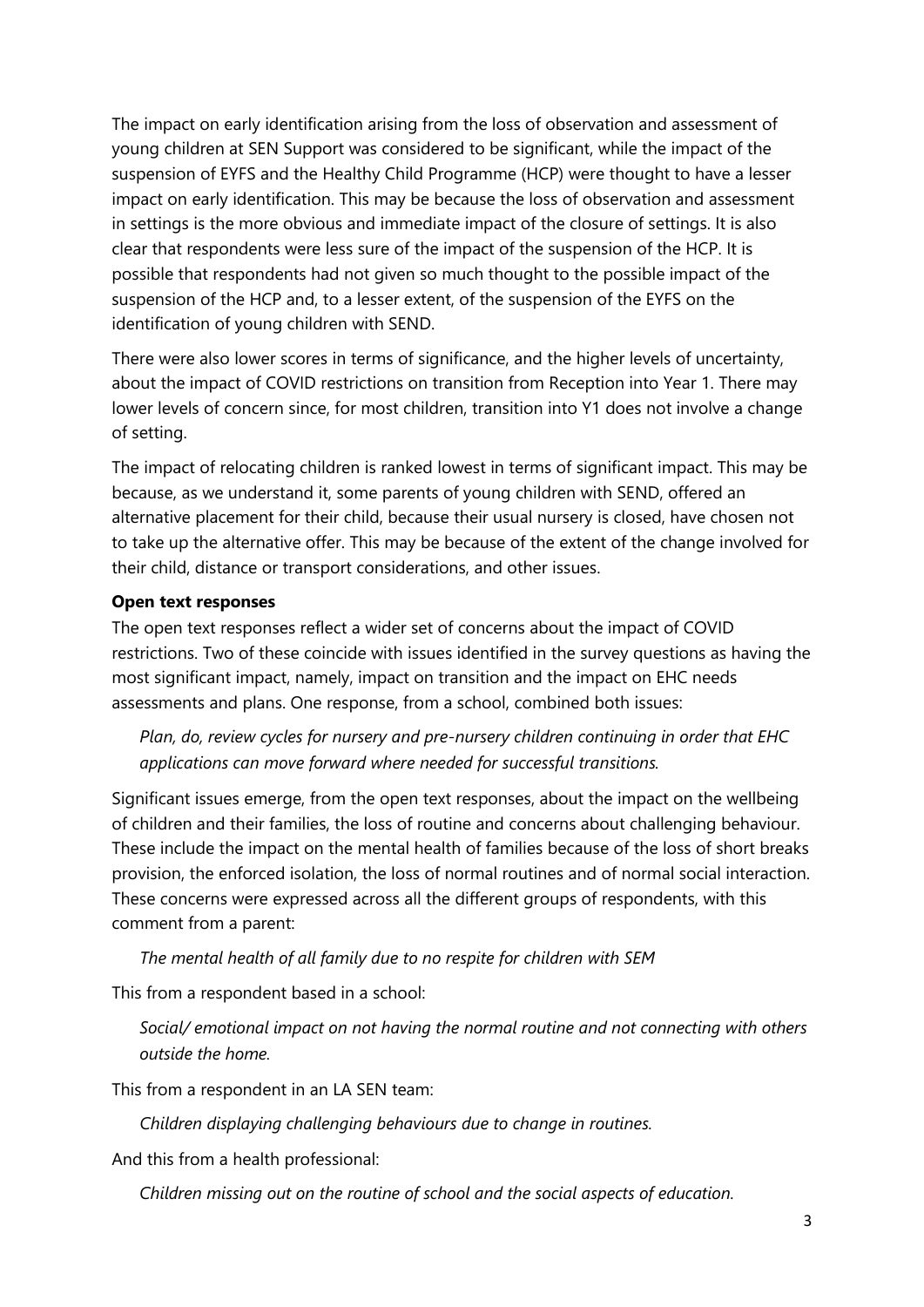The impact on early identification arising from the loss of observation and assessment of young children at SEN Support was considered to be significant, while the impact of the suspension of EYFS and the Healthy Child Programme (HCP) were thought to have a lesser impact on early identification. This may be because the loss of observation and assessment in settings is the more obvious and immediate impact of the closure of settings. It is also clear that respondents were less sure of the impact of the suspension of the HCP. It is possible that respondents had not given so much thought to the possible impact of the suspension of the HCP and, to a lesser extent, of the suspension of the EYFS on the identification of young children with SEND.

There were also lower scores in terms of significance, and the higher levels of uncertainty, about the impact of COVID restrictions on transition from Reception into Year 1. There may lower levels of concern since, for most children, transition into Y1 does not involve a change of setting.

The impact of relocating children is ranked lowest in terms of significant impact. This may be because, as we understand it, some parents of young children with SEND, offered an alternative placement for their child, because their usual nursery is closed, have chosen not to take up the alternative offer. This may be because of the extent of the change involved for their child, distance or transport considerations, and other issues.

#### **Open text responses**

The open text responses reflect a wider set of concerns about the impact of COVID restrictions. Two of these coincide with issues identified in the survey questions as having the most significant impact, namely, impact on transition and the impact on EHC needs assessments and plans. One response, from a school, combined both issues:

*Plan, do, review cycles for nursery and pre-nursery children continuing in order that EHC applications can move forward where needed for successful transitions.* 

Significant issues emerge, from the open text responses, about the impact on the wellbeing of children and their families, the loss of routine and concerns about challenging behaviour. These include the impact on the mental health of families because of the loss of short breaks provision, the enforced isolation, the loss of normal routines and of normal social interaction. These concerns were expressed across all the different groups of respondents, with this comment from a parent:

*The mental health of all family due to no respite for children with SEM*

This from a respondent based in a school:

*Social/ emotional impact on not having the normal routine and not connecting with others outside the home.*

This from a respondent in an LA SEN team:

*Children displaying challenging behaviours due to change in routines.*

And this from a health professional:

*Children missing out on the routine of school and the social aspects of education.*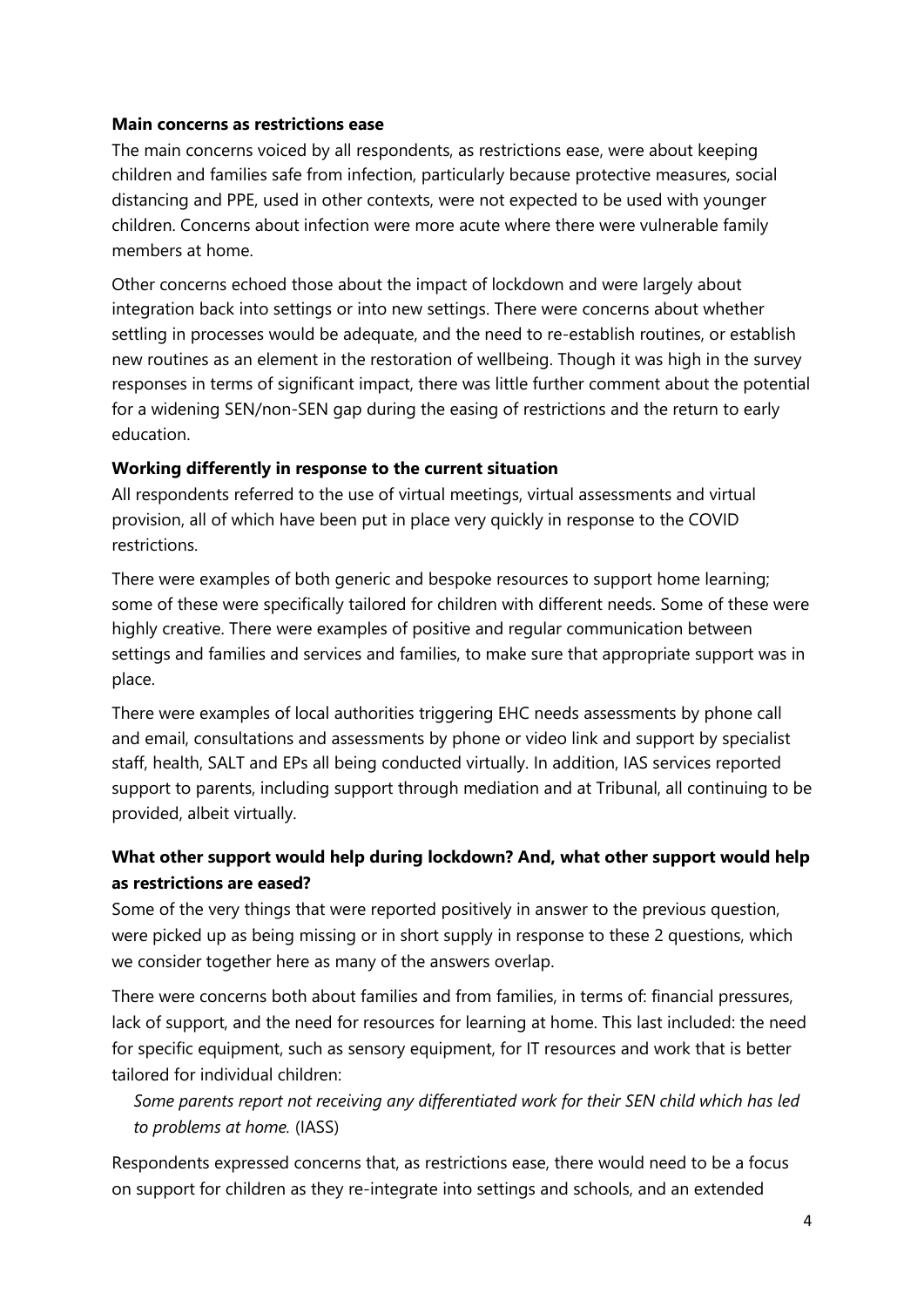#### **Main concerns as restrictions ease**

The main concerns voiced by all respondents, as restrictions ease, were about keeping children and families safe from infection, particularly because protective measures, social distancing and PPE, used in other contexts, were not expected to be used with younger children. Concerns about infection were more acute where there were vulnerable family members at home.

Other concerns echoed those about the impact of lockdown and were largely about integration back into settings or into new settings. There were concerns about whether settling in processes would be adequate, and the need to re-establish routines, or establish new routines as an element in the restoration of wellbeing. Though it was high in the survey responses in terms of significant impact, there was little further comment about the potential for a widening SEN/non-SEN gap during the easing of restrictions and the return to early education.

#### **Working differently in response to the current situation**

All respondents referred to the use of virtual meetings, virtual assessments and virtual provision, all of which have been put in place very quickly in response to the COVID restrictions.

There were examples of both generic and bespoke resources to support home learning; some of these were specifically tailored for children with different needs. Some of these were highly creative. There were examples of positive and regular communication between settings and families and services and families, to make sure that appropriate support was in place.

There were examples of local authorities triggering EHC needs assessments by phone call and email, consultations and assessments by phone or video link and support by specialist staff, health, SALT and EPs all being conducted virtually. In addition, IAS services reported support to parents, including support through mediation and at Tribunal, all continuing to be provided, albeit virtually.

# **What other support would help during lockdown? And, what other support would help as restrictions are eased?**

Some of the very things that were reported positively in answer to the previous question, were picked up as being missing or in short supply in response to these 2 questions, which we consider together here as many of the answers overlap.

There were concerns both about families and from families, in terms of: financial pressures, lack of support, and the need for resources for learning at home. This last included: the need for specific equipment, such as sensory equipment, for IT resources and work that is better tailored for individual children:

*Some parents report not receiving any differentiated work for their SEN child which has led to problems at home.* (IASS)

Respondents expressed concerns that, as restrictions ease, there would need to be a focus on support for children as they re-integrate into settings and schools, and an extended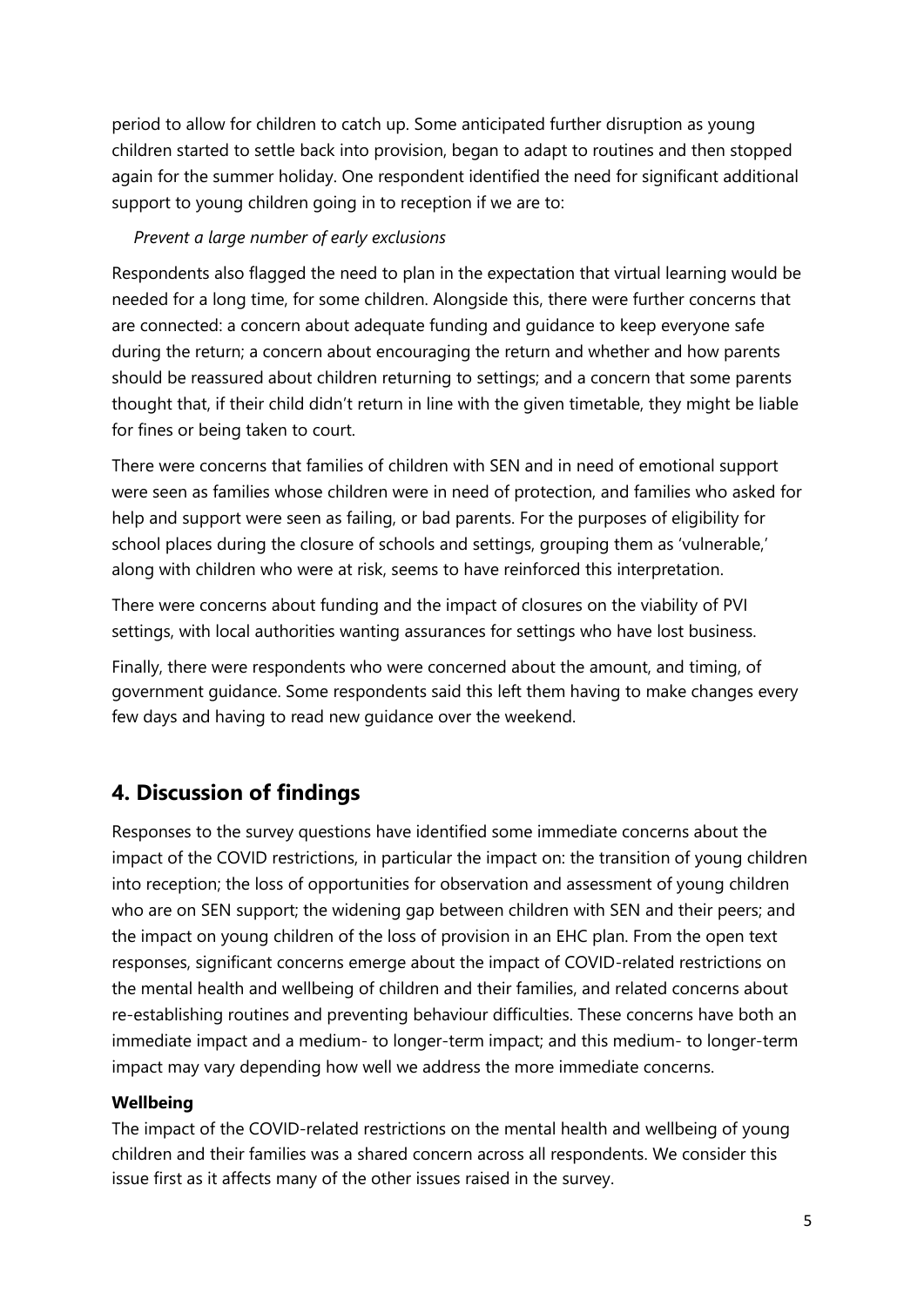period to allow for children to catch up. Some anticipated further disruption as young children started to settle back into provision, began to adapt to routines and then stopped again for the summer holiday. One respondent identified the need for significant additional support to young children going in to reception if we are to:

## *Prevent a large number of early exclusions*

Respondents also flagged the need to plan in the expectation that virtual learning would be needed for a long time, for some children. Alongside this, there were further concerns that are connected: a concern about adequate funding and guidance to keep everyone safe during the return; a concern about encouraging the return and whether and how parents should be reassured about children returning to settings; and a concern that some parents thought that, if their child didn't return in line with the given timetable, they might be liable for fines or being taken to court.

There were concerns that families of children with SEN and in need of emotional support were seen as families whose children were in need of protection, and families who asked for help and support were seen as failing, or bad parents. For the purposes of eligibility for school places during the closure of schools and settings, grouping them as 'vulnerable,' along with children who were at risk, seems to have reinforced this interpretation.

There were concerns about funding and the impact of closures on the viability of PVI settings, with local authorities wanting assurances for settings who have lost business.

Finally, there were respondents who were concerned about the amount, and timing, of government guidance. Some respondents said this left them having to make changes every few days and having to read new guidance over the weekend.

# **4. Discussion of findings**

Responses to the survey questions have identified some immediate concerns about the impact of the COVID restrictions, in particular the impact on: the transition of young children into reception; the loss of opportunities for observation and assessment of young children who are on SEN support; the widening gap between children with SEN and their peers; and the impact on young children of the loss of provision in an EHC plan. From the open text responses, significant concerns emerge about the impact of COVID-related restrictions on the mental health and wellbeing of children and their families, and related concerns about re-establishing routines and preventing behaviour difficulties. These concerns have both an immediate impact and a medium- to longer-term impact; and this medium- to longer-term impact may vary depending how well we address the more immediate concerns.

# **Wellbeing**

The impact of the COVID-related restrictions on the mental health and wellbeing of young children and their families was a shared concern across all respondents. We consider this issue first as it affects many of the other issues raised in the survey.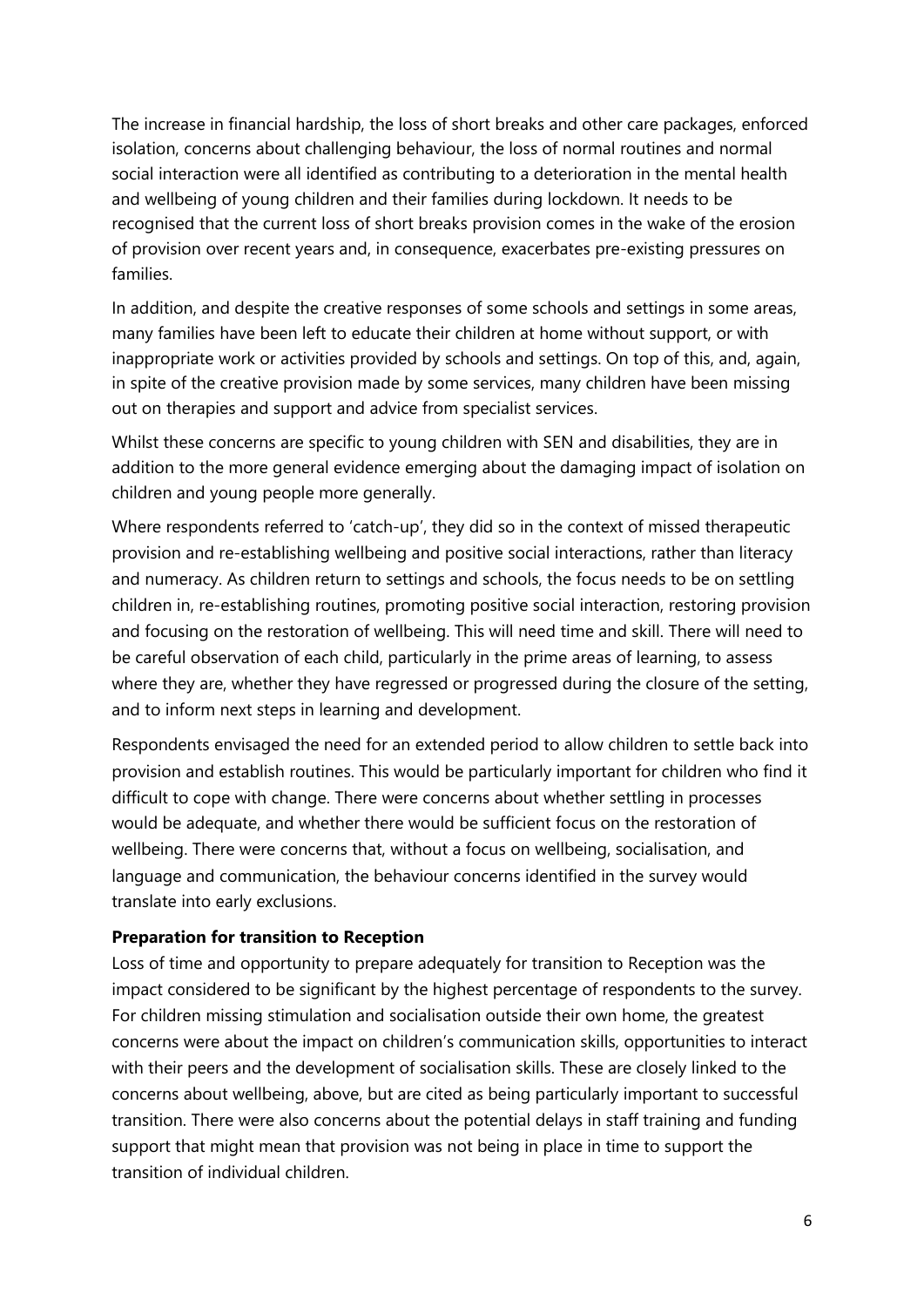The increase in financial hardship, the loss of short breaks and other care packages, enforced isolation, concerns about challenging behaviour, the loss of normal routines and normal social interaction were all identified as contributing to a deterioration in the mental health and wellbeing of young children and their families during lockdown. It needs to be recognised that the current loss of short breaks provision comes in the wake of the erosion of provision over recent years and, in consequence, exacerbates pre-existing pressures on families.

In addition, and despite the creative responses of some schools and settings in some areas, many families have been left to educate their children at home without support, or with inappropriate work or activities provided by schools and settings. On top of this, and, again, in spite of the creative provision made by some services, many children have been missing out on therapies and support and advice from specialist services.

Whilst these concerns are specific to young children with SEN and disabilities, they are in addition to the more general evidence emerging about the damaging impact of isolation on children and young people more generally.

Where respondents referred to 'catch-up', they did so in the context of missed therapeutic provision and re-establishing wellbeing and positive social interactions, rather than literacy and numeracy. As children return to settings and schools, the focus needs to be on settling children in, re-establishing routines, promoting positive social interaction, restoring provision and focusing on the restoration of wellbeing. This will need time and skill. There will need to be careful observation of each child, particularly in the prime areas of learning, to assess where they are, whether they have regressed or progressed during the closure of the setting, and to inform next steps in learning and development.

Respondents envisaged the need for an extended period to allow children to settle back into provision and establish routines. This would be particularly important for children who find it difficult to cope with change. There were concerns about whether settling in processes would be adequate, and whether there would be sufficient focus on the restoration of wellbeing. There were concerns that, without a focus on wellbeing, socialisation, and language and communication, the behaviour concerns identified in the survey would translate into early exclusions.

#### **Preparation for transition to Reception**

Loss of time and opportunity to prepare adequately for transition to Reception was the impact considered to be significant by the highest percentage of respondents to the survey. For children missing stimulation and socialisation outside their own home, the greatest concerns were about the impact on children's communication skills, opportunities to interact with their peers and the development of socialisation skills. These are closely linked to the concerns about wellbeing, above, but are cited as being particularly important to successful transition. There were also concerns about the potential delays in staff training and funding support that might mean that provision was not being in place in time to support the transition of individual children.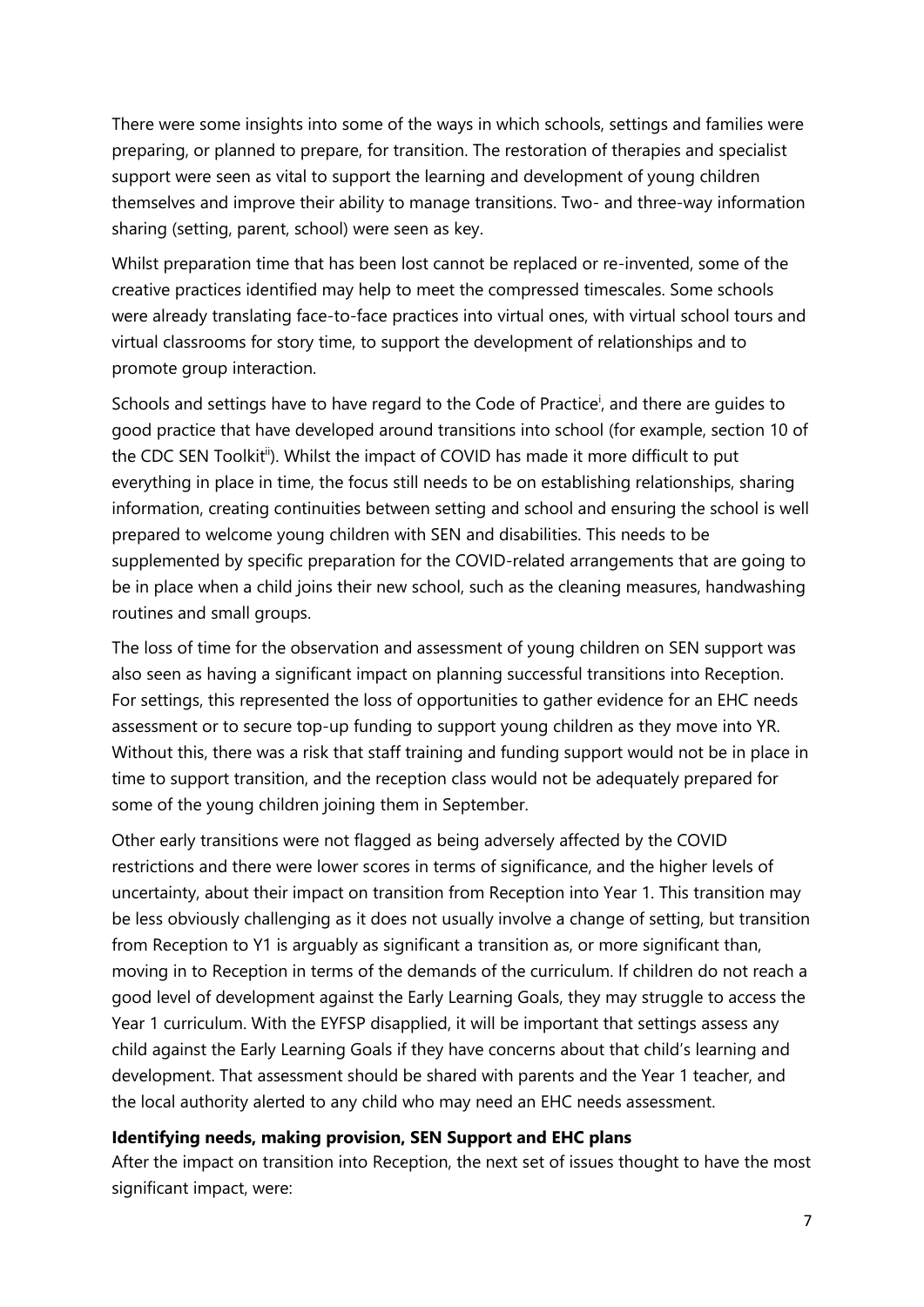There were some insights into some of the ways in which schools, settings and families were preparing, or planned to prepare, for transition. The restoration of therapies and specialist support were seen as vital to support the learning and development of young children themselves and improve their ability to manage transitions. Two- and three-way information sharing (setting, parent, school) were seen as key.

Whilst preparation time that has been lost cannot be replaced or re-invented, some of the creative practices identified may help to meet the compressed timescales. Some schools were already translating face-to-face practices into virtual ones, with virtual school tours and virtual classrooms for story time, to support the development of relationships and to promote group interaction.

Schools and settings have to have regard to the Code of Practice<sup>i</sup>, and there are guides to good practice that have developed around transitions into school (for example, section 10 of the CDC SEN Toolkit<sup>ii</sup>). Whilst the impact of COVID has made it more difficult to put everything in place in time, the focus still needs to be on establishing relationships, sharing information, creating continuities between setting and school and ensuring the school is well prepared to welcome young children with SEN and disabilities. This needs to be supplemented by specific preparation for the COVID-related arrangements that are going to be in place when a child joins their new school, such as the cleaning measures, handwashing routines and small groups.

The loss of time for the observation and assessment of young children on SEN support was also seen as having a significant impact on planning successful transitions into Reception. For settings, this represented the loss of opportunities to gather evidence for an EHC needs assessment or to secure top-up funding to support young children as they move into YR. Without this, there was a risk that staff training and funding support would not be in place in time to support transition, and the reception class would not be adequately prepared for some of the young children joining them in September.

Other early transitions were not flagged as being adversely affected by the COVID restrictions and there were lower scores in terms of significance, and the higher levels of uncertainty, about their impact on transition from Reception into Year 1. This transition may be less obviously challenging as it does not usually involve a change of setting, but transition from Reception to Y1 is arguably as significant a transition as, or more significant than, moving in to Reception in terms of the demands of the curriculum. If children do not reach a good level of development against the Early Learning Goals, they may struggle to access the Year 1 curriculum. With the EYFSP disapplied, it will be important that settings assess any child against the Early Learning Goals if they have concerns about that child's learning and development. That assessment should be shared with parents and the Year 1 teacher, and the local authority alerted to any child who may need an EHC needs assessment.

#### **Identifying needs, making provision, SEN Support and EHC plans**

After the impact on transition into Reception, the next set of issues thought to have the most significant impact, were: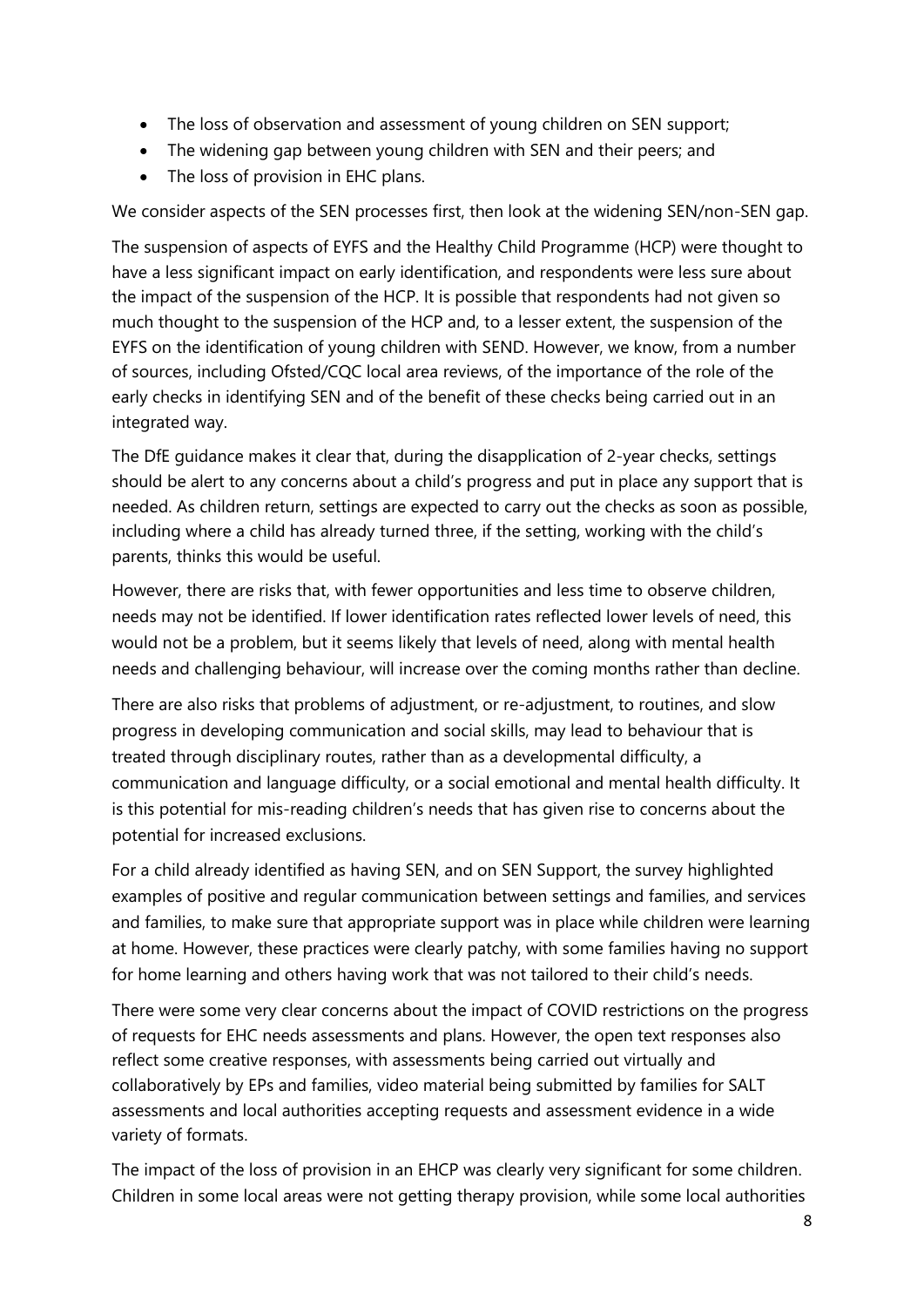- The loss of observation and assessment of young children on SEN support;
- The widening gap between young children with SEN and their peers; and
- The loss of provision in EHC plans.

We consider aspects of the SEN processes first, then look at the widening SEN/non-SEN gap.

The suspension of aspects of EYFS and the Healthy Child Programme (HCP) were thought to have a less significant impact on early identification, and respondents were less sure about the impact of the suspension of the HCP. It is possible that respondents had not given so much thought to the suspension of the HCP and, to a lesser extent, the suspension of the EYFS on the identification of young children with SEND. However, we know, from a number of sources, including Ofsted/CQC local area reviews, of the importance of the role of the early checks in identifying SEN and of the benefit of these checks being carried out in an integrated way.

The DfE guidance makes it clear that, during the disapplication of 2-year checks, settings should be alert to any concerns about a child's progress and put in place any support that is needed. As children return, settings are expected to carry out the checks as soon as possible, including where a child has already turned three, if the setting, working with the child's parents, thinks this would be useful.

However, there are risks that, with fewer opportunities and less time to observe children, needs may not be identified. If lower identification rates reflected lower levels of need, this would not be a problem, but it seems likely that levels of need, along with mental health needs and challenging behaviour, will increase over the coming months rather than decline.

There are also risks that problems of adjustment, or re-adjustment, to routines, and slow progress in developing communication and social skills, may lead to behaviour that is treated through disciplinary routes, rather than as a developmental difficulty, a communication and language difficulty, or a social emotional and mental health difficulty. It is this potential for mis-reading children's needs that has given rise to concerns about the potential for increased exclusions.

For a child already identified as having SEN, and on SEN Support, the survey highlighted examples of positive and regular communication between settings and families, and services and families, to make sure that appropriate support was in place while children were learning at home. However, these practices were clearly patchy, with some families having no support for home learning and others having work that was not tailored to their child's needs.

There were some very clear concerns about the impact of COVID restrictions on the progress of requests for EHC needs assessments and plans. However, the open text responses also reflect some creative responses, with assessments being carried out virtually and collaboratively by EPs and families, video material being submitted by families for SALT assessments and local authorities accepting requests and assessment evidence in a wide variety of formats.

The impact of the loss of provision in an EHCP was clearly very significant for some children. Children in some local areas were not getting therapy provision, while some local authorities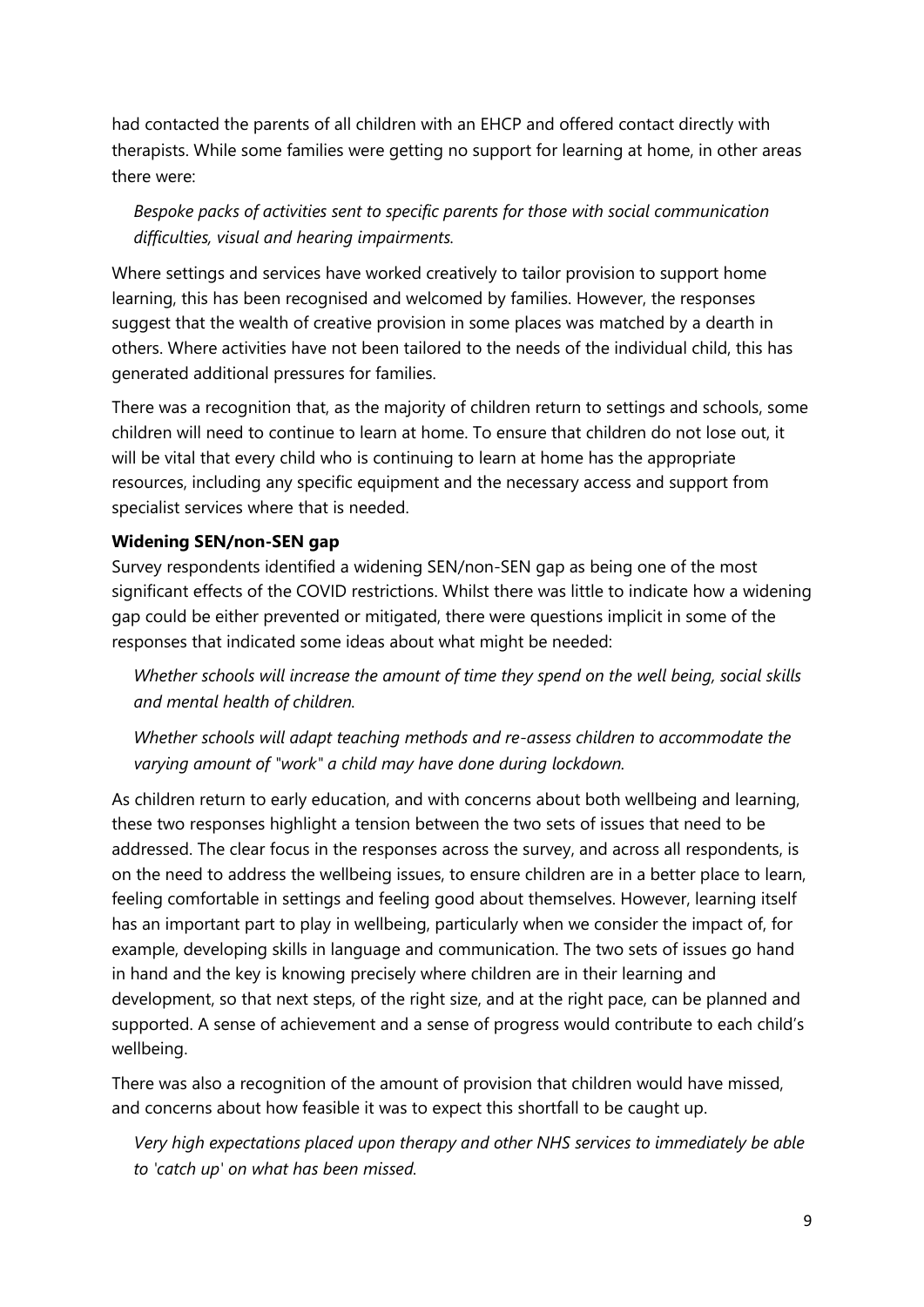had contacted the parents of all children with an EHCP and offered contact directly with therapists. While some families were getting no support for learning at home, in other areas there were:

# *Bespoke packs of activities sent to specific parents for those with social communication difficulties, visual and hearing impairments.*

Where settings and services have worked creatively to tailor provision to support home learning, this has been recognised and welcomed by families. However, the responses suggest that the wealth of creative provision in some places was matched by a dearth in others. Where activities have not been tailored to the needs of the individual child, this has generated additional pressures for families.

There was a recognition that, as the majority of children return to settings and schools, some children will need to continue to learn at home. To ensure that children do not lose out, it will be vital that every child who is continuing to learn at home has the appropriate resources, including any specific equipment and the necessary access and support from specialist services where that is needed.

## **Widening SEN/non-SEN gap**

Survey respondents identified a widening SEN/non-SEN gap as being one of the most significant effects of the COVID restrictions. Whilst there was little to indicate how a widening gap could be either prevented or mitigated, there were questions implicit in some of the responses that indicated some ideas about what might be needed:

*Whether schools will increase the amount of time they spend on the well being, social skills and mental health of children.*

*Whether schools will adapt teaching methods and re-assess children to accommodate the varying amount of "work" a child may have done during lockdown.* 

As children return to early education, and with concerns about both wellbeing and learning, these two responses highlight a tension between the two sets of issues that need to be addressed. The clear focus in the responses across the survey, and across all respondents, is on the need to address the wellbeing issues, to ensure children are in a better place to learn, feeling comfortable in settings and feeling good about themselves. However, learning itself has an important part to play in wellbeing, particularly when we consider the impact of, for example, developing skills in language and communication. The two sets of issues go hand in hand and the key is knowing precisely where children are in their learning and development, so that next steps, of the right size, and at the right pace, can be planned and supported. A sense of achievement and a sense of progress would contribute to each child's wellbeing.

There was also a recognition of the amount of provision that children would have missed, and concerns about how feasible it was to expect this shortfall to be caught up.

*Very high expectations placed upon therapy and other NHS services to immediately be able to 'catch up' on what has been missed.*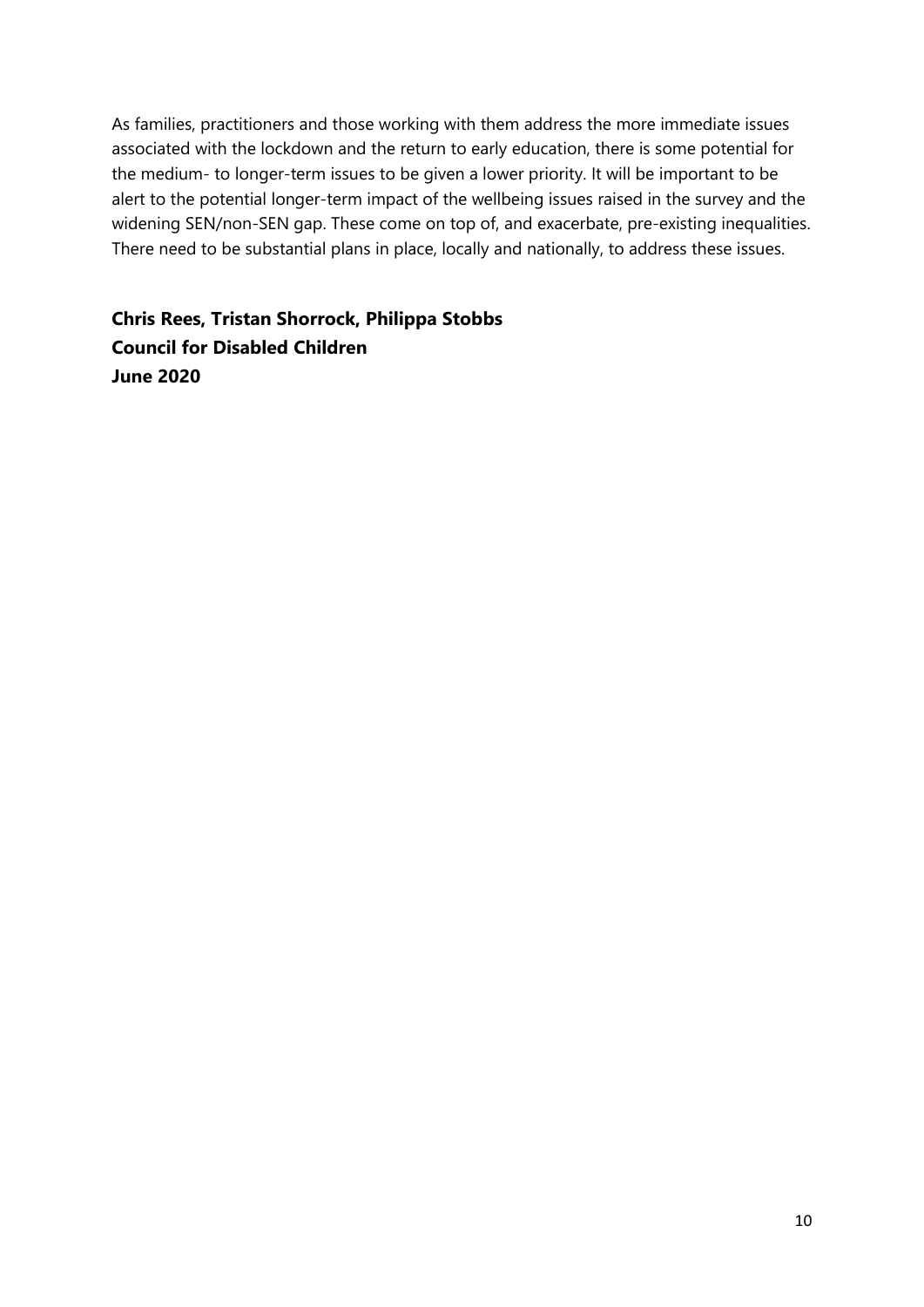As families, practitioners and those working with them address the more immediate issues associated with the lockdown and the return to early education, there is some potential for the medium- to longer-term issues to be given a lower priority. It will be important to be alert to the potential longer-term impact of the wellbeing issues raised in the survey and the widening SEN/non-SEN gap. These come on top of, and exacerbate, pre-existing inequalities. There need to be substantial plans in place, locally and nationally, to address these issues.

**Chris Rees, Tristan Shorrock, Philippa Stobbs Council for Disabled Children June 2020**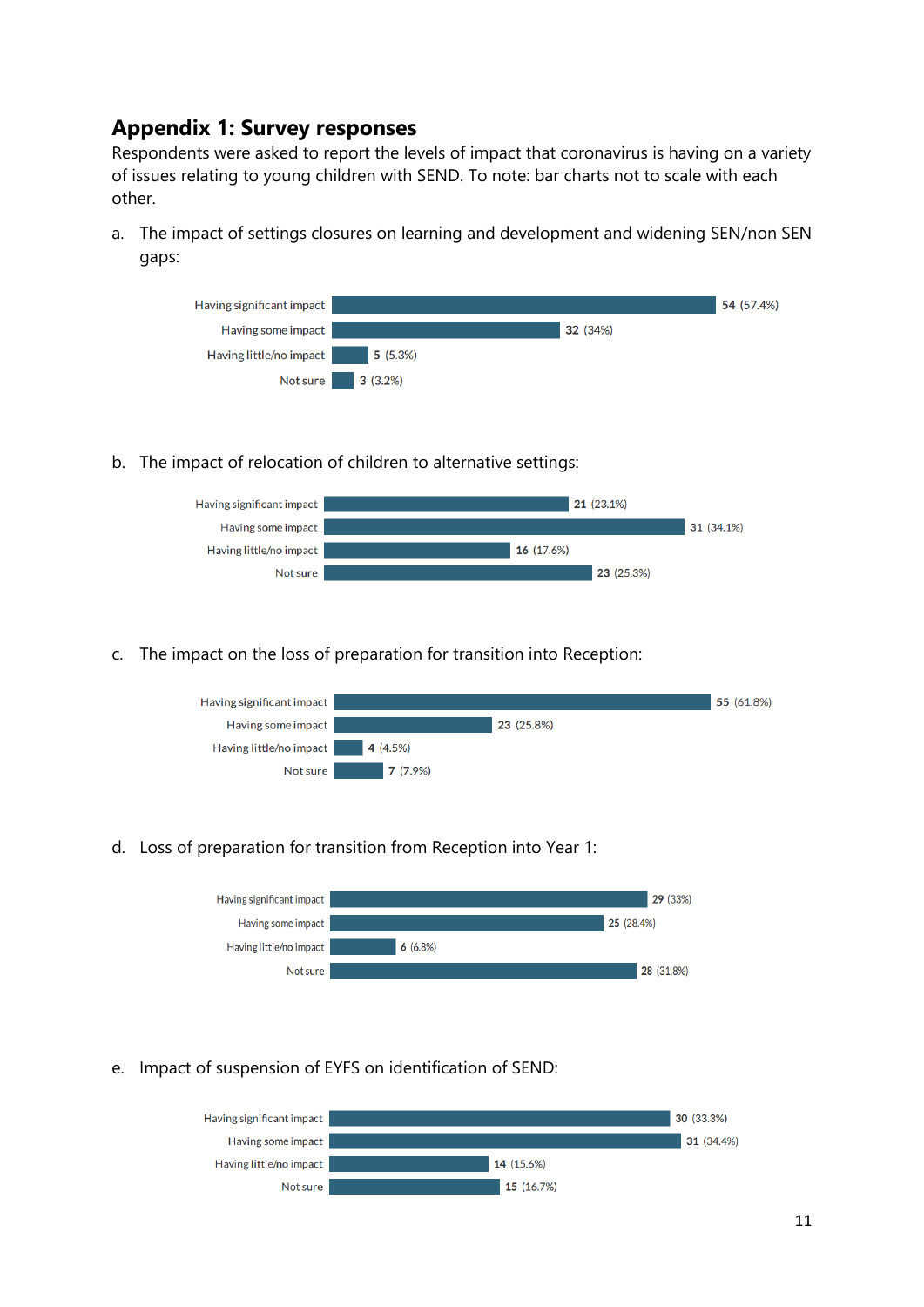# **Appendix 1: Survey responses**

Respondents were asked to report the levels of impact that coronavirus is having on a variety of issues relating to young children with SEND. To note: bar charts not to scale with each other.

a. The impact of settings closures on learning and development and widening SEN/non SEN gaps:



b. The impact of relocation of children to alternative settings:



c. The impact on the loss of preparation for transition into Reception:



d. Loss of preparation for transition from Reception into Year 1:



e. Impact of suspension of EYFS on identification of SEND:

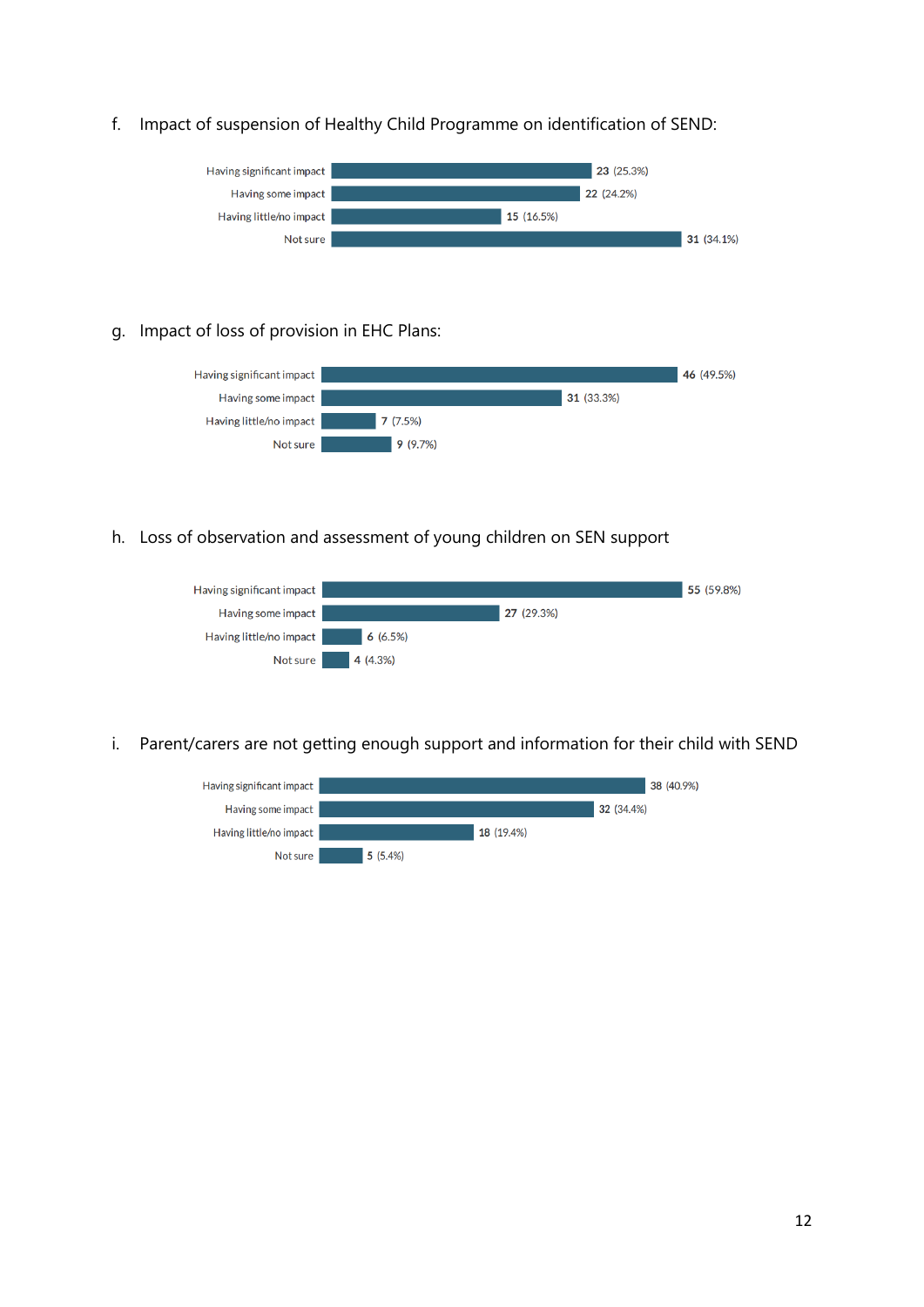#### f. Impact of suspension of Healthy Child Programme on identification of SEND:



#### g. Impact of loss of provision in EHC Plans:



h. Loss of observation and assessment of young children on SEN support



i. Parent/carers are not getting enough support and information for their child with SEND

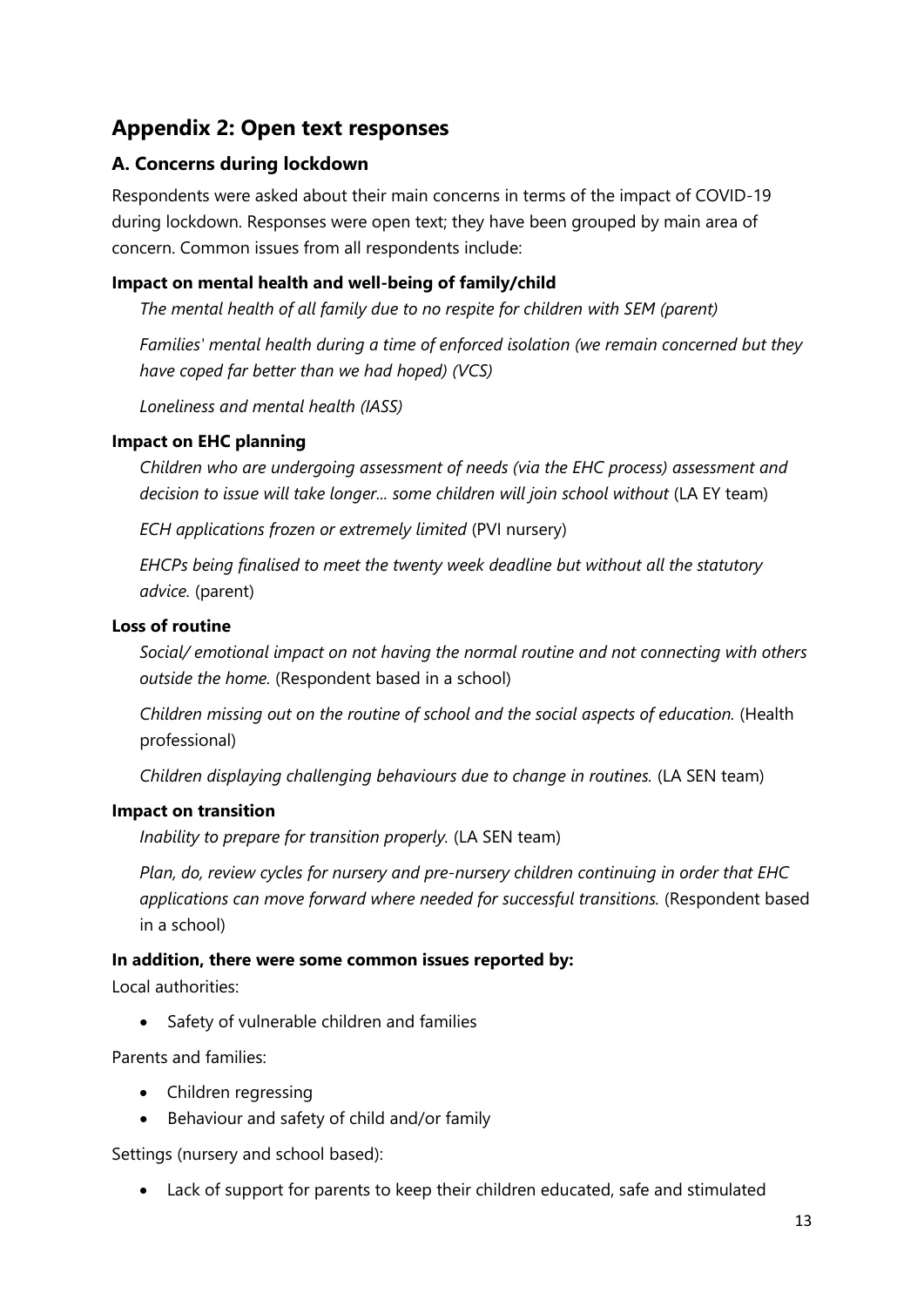# **Appendix 2: Open text responses**

# **A. Concerns during lockdown**

Respondents were asked about their main concerns in terms of the impact of COVID-19 during lockdown. Responses were open text; they have been grouped by main area of concern. Common issues from all respondents include:

# **Impact on mental health and well-being of family/child**

*The mental health of all family due to no respite for children with SEM (parent)*

*Families' mental health during a time of enforced isolation (we remain concerned but they have coped far better than we had hoped) (VCS)*

*Loneliness and mental health (IASS)*

## **Impact on EHC planning**

*Children who are undergoing assessment of needs (via the EHC process) assessment and decision to issue will take longer... some children will join school without* (LA EY team)

*ECH applications frozen or extremely limited* (PVI nursery)

*EHCPs being finalised to meet the twenty week deadline but without all the statutory advice.* (parent)

### **Loss of routine**

*Social/ emotional impact on not having the normal routine and not connecting with others outside the home.* (Respondent based in a school)

*Children missing out on the routine of school and the social aspects of education.* (Health professional)

*Children displaying challenging behaviours due to change in routines.* (LA SEN team)

### **Impact on transition**

*Inability to prepare for transition properly.* (LA SEN team)

*Plan, do, review cycles for nursery and pre-nursery children continuing in order that EHC applications can move forward where needed for successful transitions.* (Respondent based in a school)

### **In addition, there were some common issues reported by:**

Local authorities:

Safety of vulnerable children and families

Parents and families:

- Children regressing
- Behaviour and safety of child and/or family

Settings (nursery and school based):

Lack of support for parents to keep their children educated, safe and stimulated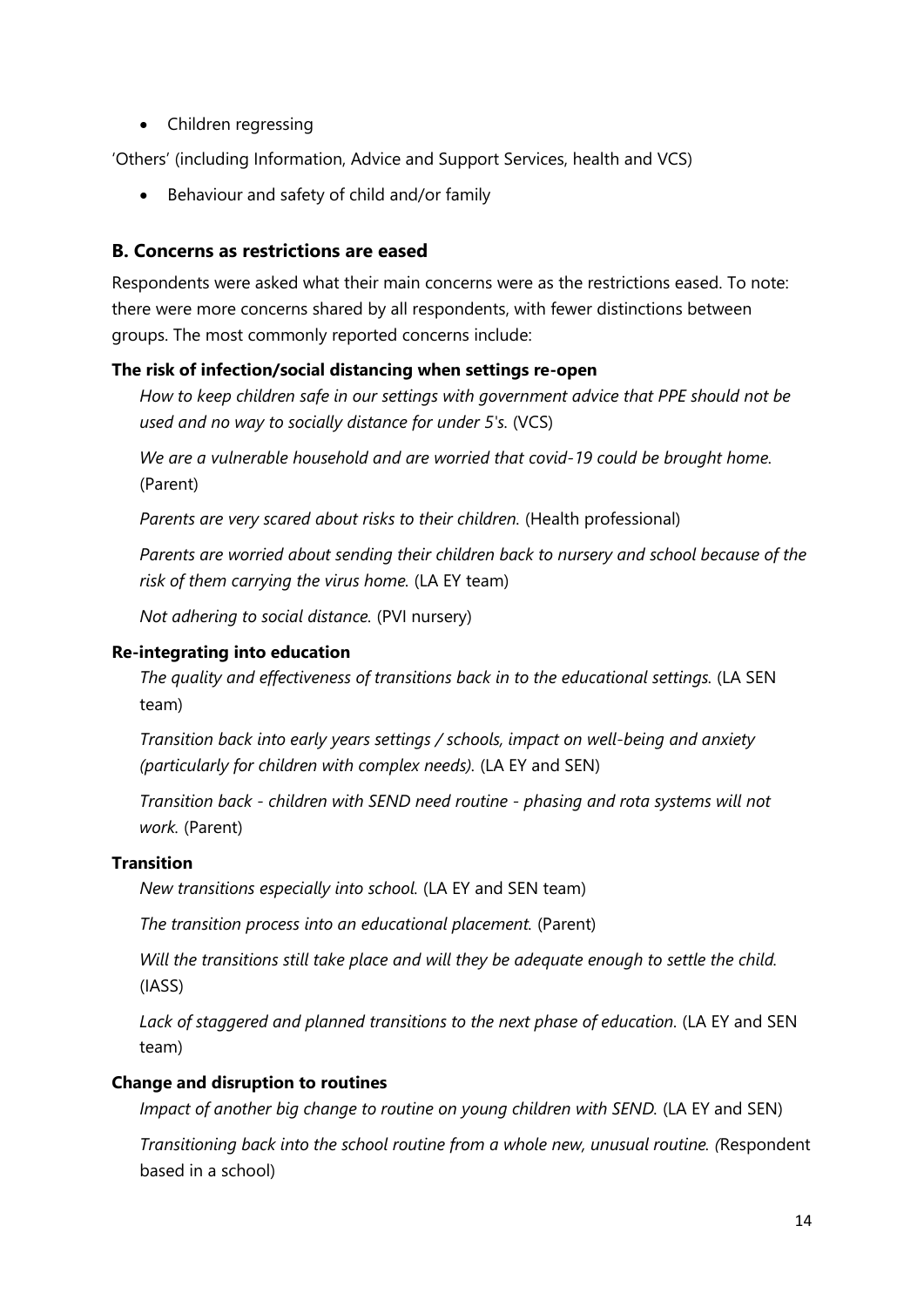• Children regressing

'Others' (including Information, Advice and Support Services, health and VCS)

• Behaviour and safety of child and/or family

#### **B. Concerns as restrictions are eased**

Respondents were asked what their main concerns were as the restrictions eased. To note: there were more concerns shared by all respondents, with fewer distinctions between groups. The most commonly reported concerns include:

#### **The risk of infection/social distancing when settings re-open**

*How to keep children safe in our settings with government advice that PPE should not be used and no way to socially distance for under 5's.* (VCS)

*We are a vulnerable household and are worried that covid-19 could be brought home.* (Parent)

*Parents are very scared about risks to their children.* (Health professional)

*Parents are worried about sending their children back to nursery and school because of the risk of them carrying the virus home.* (LA EY team)

*Not adhering to social distance.* (PVI nursery)

#### **Re-integrating into education**

*The quality and effectiveness of transitions back in to the educational settings.* (LA SEN team)

*Transition back into early years settings / schools, impact on well-being and anxiety (particularly for children with complex needs).* (LA EY and SEN)

*Transition back - children with SEND need routine - phasing and rota systems will not work.* (Parent)

#### **Transition**

*New transitions especially into school.* (LA EY and SEN team)

*The transition process into an educational placement.* (Parent)

*Will the transitions still take place and will they be adequate enough to settle the child.* (IASS)

*Lack of staggered and planned transitions to the next phase of education.* (LA EY and SEN team)

#### **Change and disruption to routines**

*Impact of another big change to routine on young children with SEND.* (LA EY and SEN)

*Transitioning back into the school routine from a whole new, unusual routine. (*Respondent based in a school)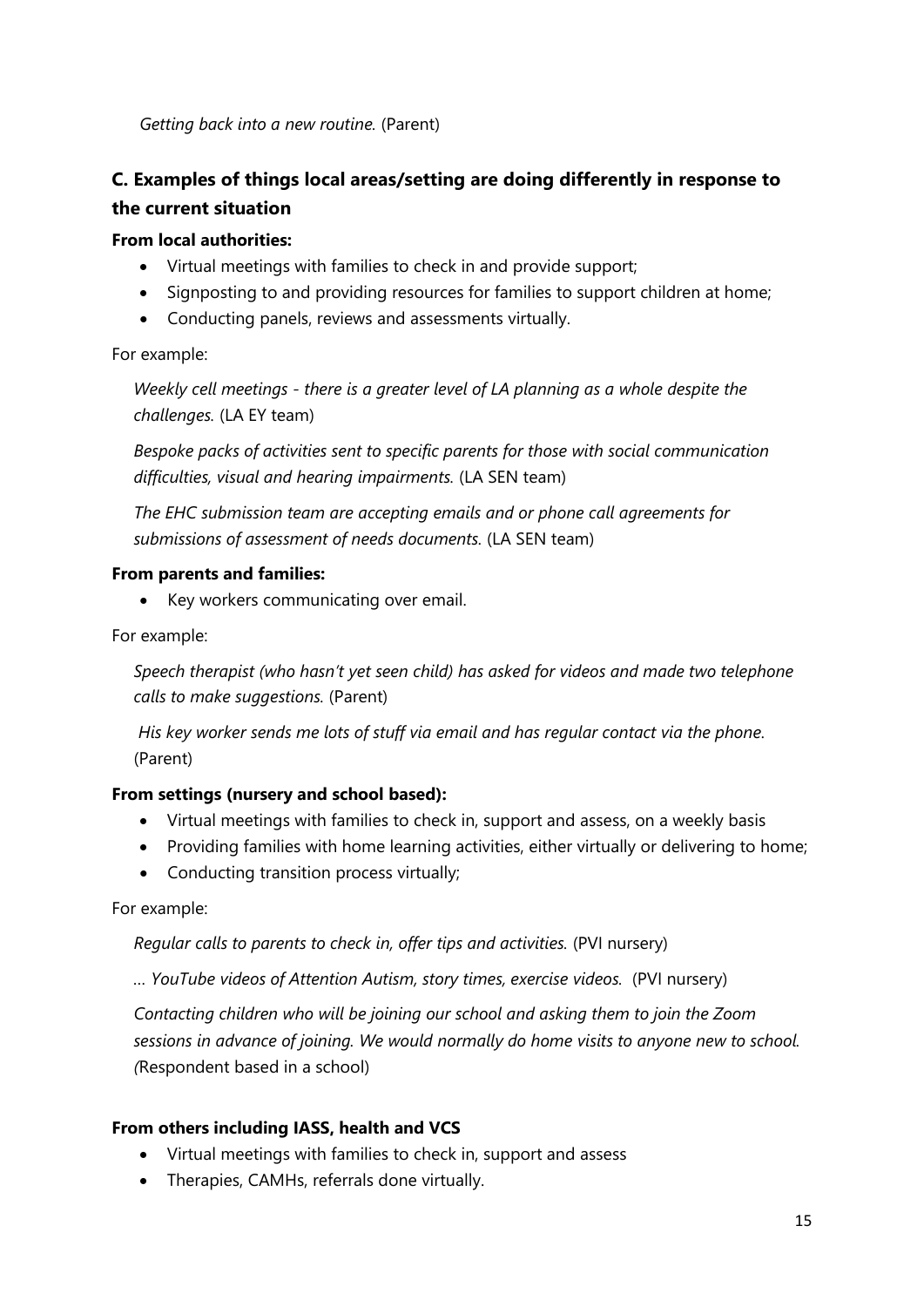*Getting back into a new routine.* (Parent)

# **C. Examples of things local areas/setting are doing differently in response to the current situation**

## **From local authorities:**

- Virtual meetings with families to check in and provide support;
- Signposting to and providing resources for families to support children at home;
- Conducting panels, reviews and assessments virtually.

For example:

*Weekly cell meetings - there is a greater level of LA planning as a whole despite the challenges.* (LA EY team)

*Bespoke packs of activities sent to specific parents for those with social communication difficulties, visual and hearing impairments.* (LA SEN team)

*The EHC submission team are accepting emails and or phone call agreements for submissions of assessment of needs documents.* (LA SEN team)

### **From parents and families:**

• Key workers communicating over email.

For example:

*Speech therapist (who hasn't yet seen child) has asked for videos and made two telephone calls to make suggestions.* (Parent)

*His key worker sends me lots of stuff via email and has regular contact via the phone.*  (Parent)

### **From settings (nursery and school based):**

- Virtual meetings with families to check in, support and assess, on a weekly basis
- Providing families with home learning activities, either virtually or delivering to home;
- Conducting transition process virtually;

For example:

*Regular calls to parents to check in, offer tips and activities.* (PVI nursery)

*… YouTube videos of Attention Autism, story times, exercise videos.* (PVI nursery)

*Contacting children who will be joining our school and asking them to join the Zoom sessions in advance of joining. We would normally do home visits to anyone new to school. (*Respondent based in a school)

### **From others including IASS, health and VCS**

- Virtual meetings with families to check in, support and assess
- Therapies, CAMHs, referrals done virtually.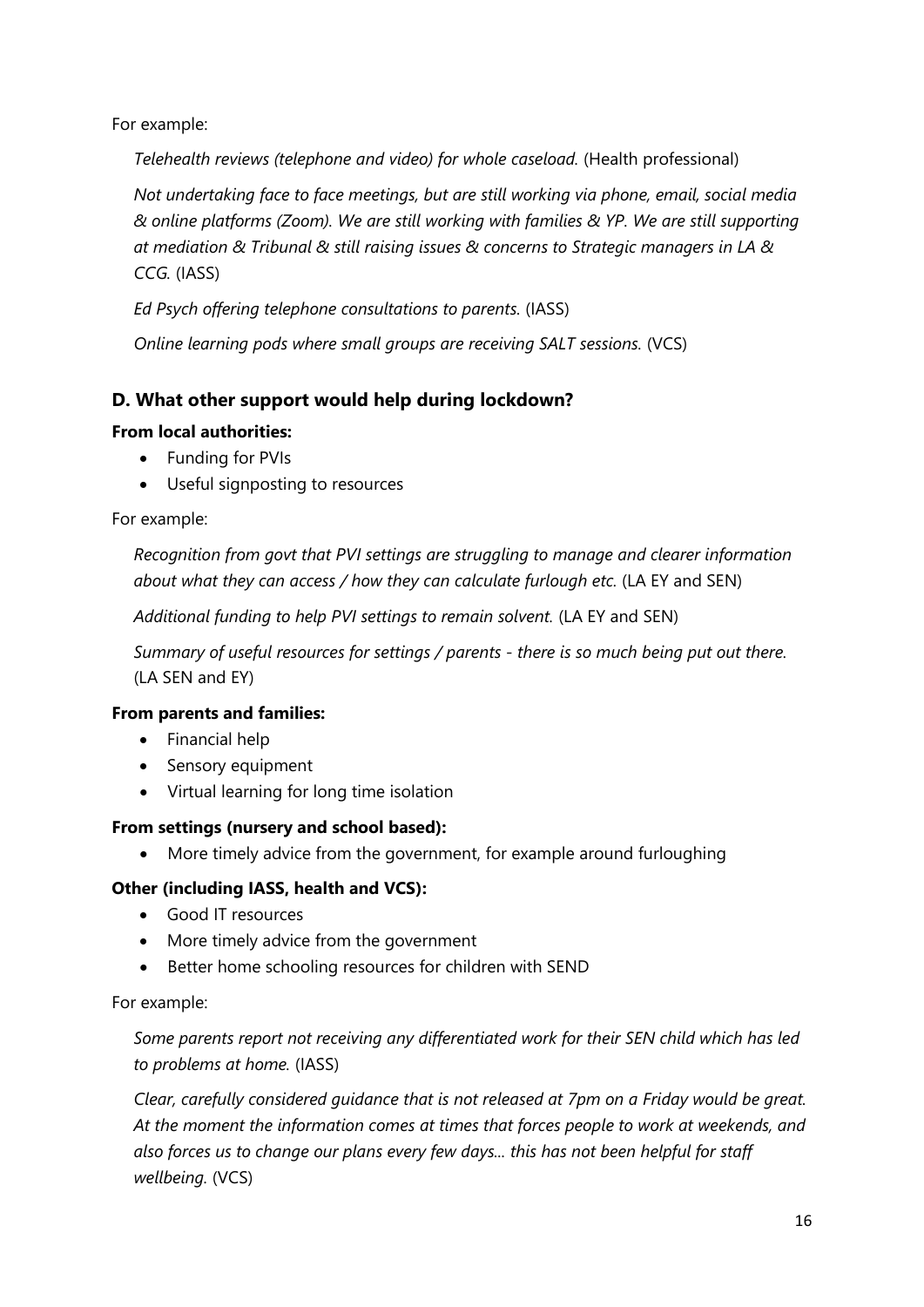For example:

*Telehealth reviews (telephone and video) for whole caseload.* (Health professional)

*Not undertaking face to face meetings, but are still working via phone, email, social media & online platforms (Zoom). We are still working with families & YP. We are still supporting at mediation & Tribunal & still raising issues & concerns to Strategic managers in LA & CCG.* (IASS)

*Ed Psych offering telephone consultations to parents.* (IASS)

*Online learning pods where small groups are receiving SALT sessions.* (VCS)

# **D. What other support would help during lockdown?**

### **From local authorities:**

- Funding for PVIs
- Useful signposting to resources

For example:

*Recognition from govt that PVI settings are struggling to manage and clearer information about what they can access / how they can calculate furlough etc.* (LA EY and SEN)

*Additional funding to help PVI settings to remain solvent.* (LA EY and SEN)

*Summary of useful resources for settings / parents - there is so much being put out there.* (LA SEN and EY)

### **From parents and families:**

- Financial help
- Sensory equipment
- Virtual learning for long time isolation

### **From settings (nursery and school based):**

More timely advice from the government, for example around furloughing

# **Other (including IASS, health and VCS):**

- Good IT resources
- More timely advice from the government
- **•** Better home schooling resources for children with SEND

### For example:

*Some parents report not receiving any differentiated work for their SEN child which has led to problems at home.* (IASS)

*Clear, carefully considered guidance that is not released at 7pm on a Friday would be great. At the moment the information comes at times that forces people to work at weekends, and also forces us to change our plans every few days... this has not been helpful for staff wellbeing.* (VCS)